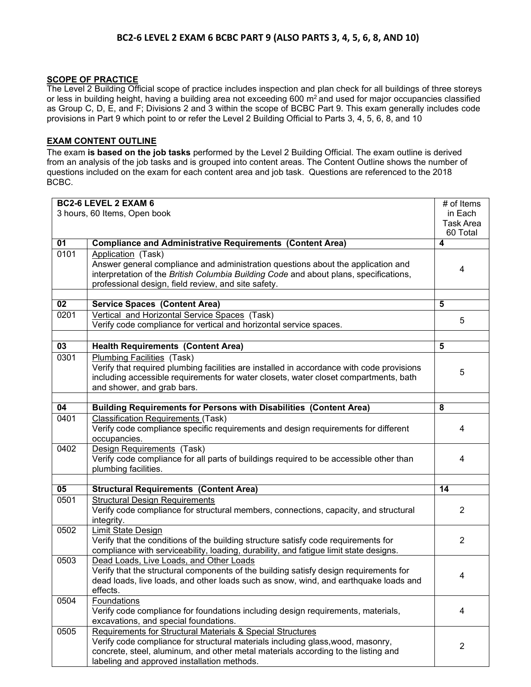## **BC2-6 LEVEL 2 EXAM 6 BCBC PART 9 (ALSO PARTS 3, 4, 5, 6, 8, AND 10)**

## **SCOPE OF PRACTICE**

The Level 2 Building Official scope of practice includes inspection and plan check for all buildings of three storeys or less in building height, having a building area not exceeding 600 m<sup>2</sup> and used for major occupancies classified as Group C, D, E, and F; Divisions 2 and 3 within the scope of BCBC Part 9. This exam generally includes code provisions in Part 9 which point to or refer the Level 2 Building Official to Parts 3, 4, 5, 6, 8, and 10

## **EXAM CONTENT OUTLINE**

The exam **is based on the job tasks** performed by the Level 2 Building Official. The exam outline is derived from an analysis of the job tasks and is grouped into content areas. The Content Outline shows the number of questions included on the exam for each content area and job task. Questions are referenced to the 2018 BCBC.

| <b>BC2-6 LEVEL 2 EXAM 6</b>  |                                                                                           | # of Items              |
|------------------------------|-------------------------------------------------------------------------------------------|-------------------------|
| 3 hours, 60 Items, Open book |                                                                                           | in Each                 |
|                              |                                                                                           | <b>Task Area</b>        |
|                              |                                                                                           | 60 Total                |
| $\overline{01}$              | <b>Compliance and Administrative Requirements (Content Area)</b>                          | 4                       |
| 0101                         | Application (Task)                                                                        |                         |
|                              | Answer general compliance and administration questions about the application and          |                         |
|                              | interpretation of the British Columbia Building Code and about plans, specifications,     | 4                       |
|                              | professional design, field review, and site safety.                                       |                         |
|                              |                                                                                           |                         |
| $\overline{02}$              | <b>Service Spaces (Content Area)</b>                                                      | $\overline{\mathbf{5}}$ |
| 0201                         | Vertical and Horizontal Service Spaces (Task)                                             |                         |
|                              | Verify code compliance for vertical and horizontal service spaces.                        | 5                       |
|                              |                                                                                           |                         |
| 03                           | <b>Health Requirements (Content Area)</b>                                                 | 5                       |
| 0301                         | Plumbing Facilities (Task)                                                                |                         |
|                              | Verify that required plumbing facilities are installed in accordance with code provisions |                         |
|                              | including accessible requirements for water closets, water closet compartments, bath      | 5                       |
|                              | and shower, and grab bars.                                                                |                         |
|                              |                                                                                           |                         |
| 04                           | <b>Building Requirements for Persons with Disabilities (Content Area)</b>                 | 8                       |
| 0401                         | <b>Classification Requirements (Task)</b>                                                 |                         |
|                              | Verify code compliance specific requirements and design requirements for different        | 4                       |
|                              | occupancies.                                                                              |                         |
| 0402                         | Design Requirements (Task)                                                                |                         |
|                              | Verify code compliance for all parts of buildings required to be accessible other than    | 4                       |
|                              | plumbing facilities.                                                                      |                         |
|                              |                                                                                           |                         |
| 05                           | <b>Structural Requirements (Content Area)</b>                                             | 14                      |
| 0501                         | <b>Structural Design Requirements</b>                                                     |                         |
|                              | Verify code compliance for structural members, connections, capacity, and structural      | 2                       |
|                              | integrity.                                                                                |                         |
| 0502                         | Limit State Design                                                                        |                         |
|                              | Verify that the conditions of the building structure satisfy code requirements for        | 2                       |
|                              | compliance with serviceability, loading, durability, and fatigue limit state designs.     |                         |
| 0503                         | Dead Loads, Live Loads, and Other Loads                                                   |                         |
|                              | Verify that the structural components of the building satisfy design requirements for     |                         |
|                              | dead loads, live loads, and other loads such as snow, wind, and earthquake loads and      | 4                       |
|                              | effects.                                                                                  |                         |
| 0504                         | <b>Foundations</b>                                                                        |                         |
|                              | Verify code compliance for foundations including design requirements, materials,          | 4                       |
|                              | excavations, and special foundations.                                                     |                         |
| 0505                         | Requirements for Structural Materials & Special Structures                                |                         |
|                              | Verify code compliance for structural materials including glass, wood, masonry,           |                         |
|                              | concrete, steel, aluminum, and other metal materials according to the listing and         | $\overline{2}$          |
|                              | labeling and approved installation methods.                                               |                         |